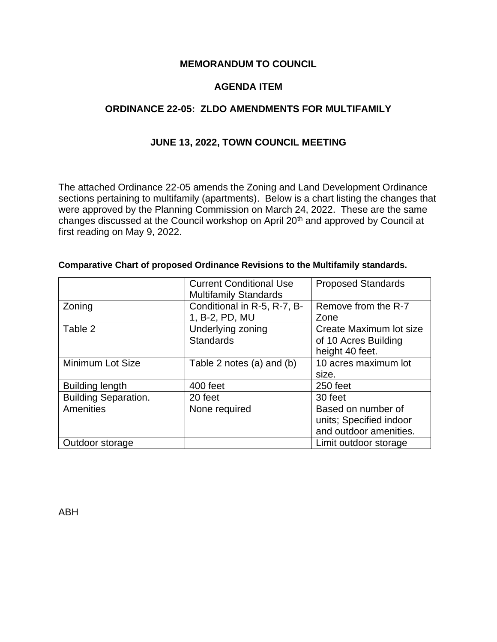### **MEMORANDUM TO COUNCIL**

# **AGENDA ITEM**

# **ORDINANCE 22-05: ZLDO AMENDMENTS FOR MULTIFAMILY**

## **JUNE 13, 2022, TOWN COUNCIL MEETING**

The attached Ordinance 22-05 amends the Zoning and Land Development Ordinance sections pertaining to multifamily (apartments). Below is a chart listing the changes that were approved by the Planning Commission on March 24, 2022. These are the same changes discussed at the Council workshop on April 20th and approved by Council at first reading on May 9, 2022.

|                             | <b>Current Conditional Use</b><br><b>Multifamily Standards</b> | <b>Proposed Standards</b>                                               |  |  |  |
|-----------------------------|----------------------------------------------------------------|-------------------------------------------------------------------------|--|--|--|
| Zoning                      | Conditional in R-5, R-7, B-<br>1, B-2, PD, MU                  | Remove from the R-7<br>Zone                                             |  |  |  |
| Table 2                     | Underlying zoning<br><b>Standards</b>                          | Create Maximum lot size<br>of 10 Acres Building<br>height 40 feet.      |  |  |  |
| Minimum Lot Size            | Table 2 notes (a) and (b)                                      | 10 acres maximum lot<br>size.                                           |  |  |  |
| <b>Building length</b>      | 400 feet                                                       | 250 feet                                                                |  |  |  |
| <b>Building Separation.</b> | 20 feet                                                        | 30 feet                                                                 |  |  |  |
| <b>Amenities</b>            | None required                                                  | Based on number of<br>units; Specified indoor<br>and outdoor amenities. |  |  |  |
| Outdoor storage             |                                                                | Limit outdoor storage                                                   |  |  |  |

#### **Comparative Chart of proposed Ordinance Revisions to the Multifamily standards.**

ABH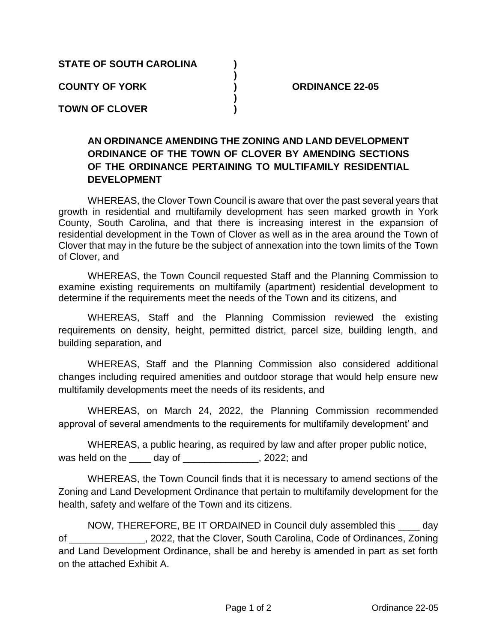**STATE OF SOUTH CAROLINA )**

**COUNTY OF YORK ) ORDINANCE 22-05**

**TOWN OF CLOVER )**

# **AN ORDINANCE AMENDING THE ZONING AND LAND DEVELOPMENT ORDINANCE OF THE TOWN OF CLOVER BY AMENDING SECTIONS OF THE ORDINANCE PERTAINING TO MULTIFAMILY RESIDENTIAL DEVELOPMENT**

**)**

**)**

WHEREAS, the Clover Town Council is aware that over the past several years that growth in residential and multifamily development has seen marked growth in York County, South Carolina, and that there is increasing interest in the expansion of residential development in the Town of Clover as well as in the area around the Town of Clover that may in the future be the subject of annexation into the town limits of the Town of Clover, and

WHEREAS, the Town Council requested Staff and the Planning Commission to examine existing requirements on multifamily (apartment) residential development to determine if the requirements meet the needs of the Town and its citizens, and

WHEREAS, Staff and the Planning Commission reviewed the existing requirements on density, height, permitted district, parcel size, building length, and building separation, and

WHEREAS, Staff and the Planning Commission also considered additional changes including required amenities and outdoor storage that would help ensure new multifamily developments meet the needs of its residents, and

WHEREAS, on March 24, 2022, the Planning Commission recommended approval of several amendments to the requirements for multifamily development' and

WHEREAS, a public hearing, as required by law and after proper public notice, was held on the \_\_\_\_ day of \_\_\_\_\_\_\_\_\_\_\_\_\_, 2022; and

WHEREAS, the Town Council finds that it is necessary to amend sections of the Zoning and Land Development Ordinance that pertain to multifamily development for the health, safety and welfare of the Town and its citizens.

NOW, THEREFORE, BE IT ORDAINED in Council duly assembled this \_\_\_\_ day of \_\_\_\_\_\_\_\_\_\_\_\_\_\_, 2022, that the Clover, South Carolina, Code of Ordinances, Zoning and Land Development Ordinance, shall be and hereby is amended in part as set forth on the attached Exhibit A.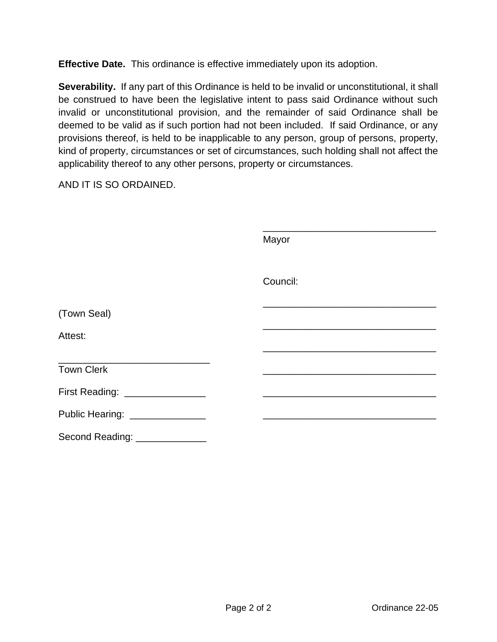**Effective Date.** This ordinance is effective immediately upon its adoption.

**Severability.** If any part of this Ordinance is held to be invalid or unconstitutional, it shall be construed to have been the legislative intent to pass said Ordinance without such invalid or unconstitutional provision, and the remainder of said Ordinance shall be deemed to be valid as if such portion had not been included. If said Ordinance, or any provisions thereof, is held to be inapplicable to any person, group of persons, property, kind of property, circumstances or set of circumstances, such holding shall not affect the applicability thereof to any other persons, property or circumstances.

AND IT IS SO ORDAINED.

|                                 | Mayor    |  |
|---------------------------------|----------|--|
|                                 | Council: |  |
| (Town Seal)                     |          |  |
| Attest:                         |          |  |
| <b>Town Clerk</b>               |          |  |
| First Reading: _______________  |          |  |
| Public Hearing: _______________ |          |  |
|                                 |          |  |

Second Reading: \_\_\_\_\_\_\_\_\_\_\_\_\_\_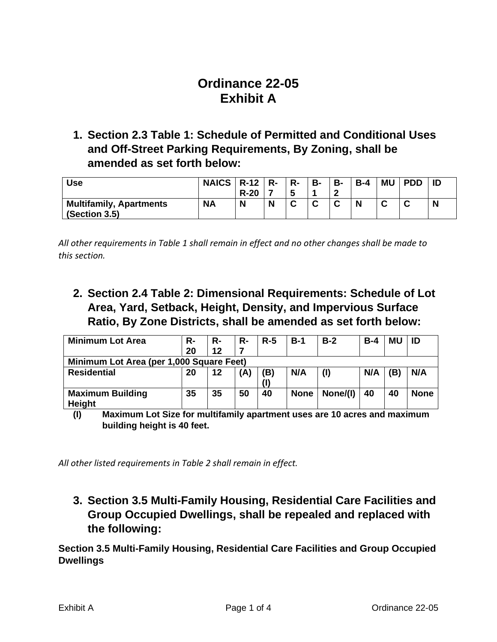# **Ordinance 22-05 Exhibit A**

**1. Section 2.3 Table 1: Schedule of Permitted and Conditional Uses and Off-Street Parking Requirements, By Zoning, shall be amended as set forth below:**

| <b>Use</b>                     | NAICS $\mid$ R-12 $\mid$ R- |        |   | $R-$ | <b>B-</b> | <b>B-</b> | $B-4$ | <b>MU</b> | <b>PDD</b> |   |
|--------------------------------|-----------------------------|--------|---|------|-----------|-----------|-------|-----------|------------|---|
|                                |                             | $R-20$ |   |      |           |           |       |           |            |   |
| <b>Multifamily, Apartments</b> | <b>NA</b>                   | N      | N |      | $\sim$    | ◠<br>ັ    | N     | $\sim$    |            | N |
| (Section 3.5)                  |                             |        |   |      |           |           |       |           |            |   |

*All other requirements in Table 1 shall remain in effect and no other changes shall be made to this section.*

**2. Section 2.4 Table 2: Dimensional Requirements: Schedule of Lot Area, Yard, Setback, Height, Density, and Impervious Surface Ratio, By Zone Districts, shall be amended as set forth below:**

| <b>Minimum Lot Area</b>                  | R- | R- | R- | $R-5$ | $B-1$       | $B-2$    | $B-4$ | MU  | ID          |
|------------------------------------------|----|----|----|-------|-------------|----------|-------|-----|-------------|
|                                          | 20 | 12 |    |       |             |          |       |     |             |
| Minimum Lot Area (per 1,000 Square Feet) |    |    |    |       |             |          |       |     |             |
| <b>Residential</b>                       | 20 | 12 | A) | (B)   | N/A         | (1)      | N/A   | (B) | N/A         |
|                                          |    |    |    |       |             |          |       |     |             |
| <b>Maximum Building</b><br>Height        | 35 | 35 | 50 | 40    | <b>None</b> | None/(I) | 40    | 40  | <b>None</b> |

**(I) Maximum Lot Size for multifamily apartment uses are 10 acres and maximum building height is 40 feet.**

*All other listed requirements in Table 2 shall remain in effect.*

**3. Section 3.5 Multi-Family Housing, Residential Care Facilities and Group Occupied Dwellings, shall be repealed and replaced with the following:**

**Section 3.5 Multi-Family Housing, Residential Care Facilities and Group Occupied Dwellings**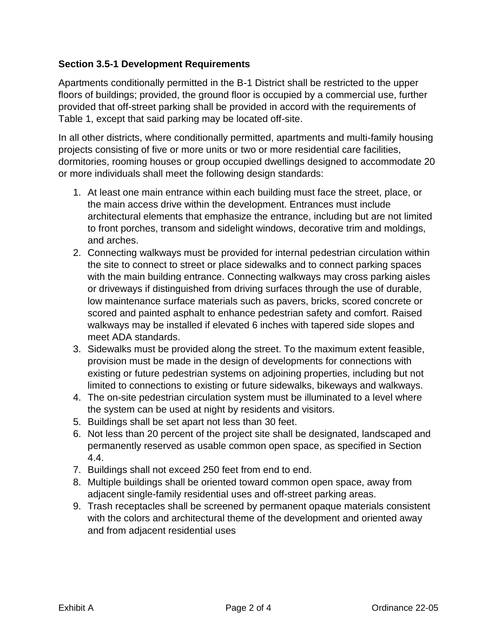# **Section 3.5-1 Development Requirements**

Apartments conditionally permitted in the B-1 District shall be restricted to the upper floors of buildings; provided, the ground floor is occupied by a commercial use, further provided that off-street parking shall be provided in accord with the requirements of Table 1, except that said parking may be located off-site.

In all other districts, where conditionally permitted, apartments and multi-family housing projects consisting of five or more units or two or more residential care facilities, dormitories, rooming houses or group occupied dwellings designed to accommodate 20 or more individuals shall meet the following design standards:

- 1. At least one main entrance within each building must face the street, place, or the main access drive within the development. Entrances must include architectural elements that emphasize the entrance, including but are not limited to front porches, transom and sidelight windows, decorative trim and moldings, and arches.
- 2. Connecting walkways must be provided for internal pedestrian circulation within the site to connect to street or place sidewalks and to connect parking spaces with the main building entrance. Connecting walkways may cross parking aisles or driveways if distinguished from driving surfaces through the use of durable, low maintenance surface materials such as pavers, bricks, scored concrete or scored and painted asphalt to enhance pedestrian safety and comfort. Raised walkways may be installed if elevated 6 inches with tapered side slopes and meet ADA standards.
- 3. Sidewalks must be provided along the street. To the maximum extent feasible, provision must be made in the design of developments for connections with existing or future pedestrian systems on adjoining properties, including but not limited to connections to existing or future sidewalks, bikeways and walkways.
- 4. The on-site pedestrian circulation system must be illuminated to a level where the system can be used at night by residents and visitors.
- 5. Buildings shall be set apart not less than 30 feet.
- 6. Not less than 20 percent of the project site shall be designated, landscaped and permanently reserved as usable common open space, as specified in Section 4.4.
- 7. Buildings shall not exceed 250 feet from end to end.
- 8. Multiple buildings shall be oriented toward common open space, away from adjacent single-family residential uses and off-street parking areas.
- 9. Trash receptacles shall be screened by permanent opaque materials consistent with the colors and architectural theme of the development and oriented away and from adjacent residential uses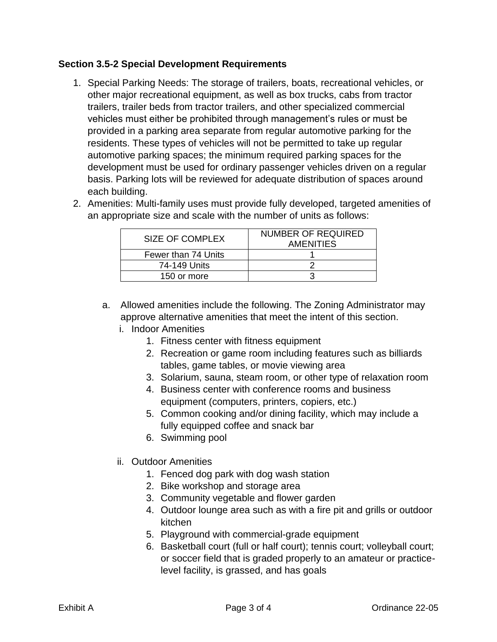## **Section 3.5-2 Special Development Requirements**

1. Special Parking Needs: The storage of trailers, boats, recreational vehicles, or other major recreational equipment, as well as box trucks, cabs from tractor trailers, trailer beds from tractor trailers, and other specialized commercial vehicles must either be prohibited through management's rules or must be provided in a parking area separate from regular automotive parking for the residents. These types of vehicles will not be permitted to take up regular automotive parking spaces; the minimum required parking spaces for the development must be used for ordinary passenger vehicles driven on a regular basis. Parking lots will be reviewed for adequate distribution of spaces around each building. 2. Amenities: Multi-family uses must provide fully developed, targeted amenities of

| ANTENNIES. MUNI-TANNIY USES MUST PROVIDE TUNY DEVEIOPED, LARGETED ANTENNIES O |  |
|-------------------------------------------------------------------------------|--|
| an appropriate size and scale with the number of units as follows:            |  |
|                                                                               |  |

| SIZE OF COMPLEX     | <b>NUMBER OF REQUIRED</b><br><b>AMENITIES</b> |  |  |  |  |
|---------------------|-----------------------------------------------|--|--|--|--|
| Fewer than 74 Units |                                               |  |  |  |  |
| 74-149 Units        |                                               |  |  |  |  |
| 150 or more         |                                               |  |  |  |  |

- a. Allowed amenities include the following. The Zoning Administrator may approve alternative amenities that meet the intent of this section.
	- i. Indoor Amenities
		- 1. Fitness center with fitness equipment
		- 2. Recreation or game room including features such as billiards tables, game tables, or movie viewing area
		- 3. Solarium, sauna, steam room, or other type of relaxation room
		- 4. Business center with conference rooms and business equipment (computers, printers, copiers, etc.)
		- 5. Common cooking and/or dining facility, which may include a fully equipped coffee and snack bar
		- 6. Swimming pool
	- ii. Outdoor Amenities
		- 1. Fenced dog park with dog wash station
		- 2. Bike workshop and storage area
		- 3. Community vegetable and flower garden
		- 4. Outdoor lounge area such as with a fire pit and grills or outdoor kitchen
		- 5. Playground with commercial-grade equipment
		- 6. Basketball court (full or half court); tennis court; volleyball court; or soccer field that is graded properly to an amateur or practicelevel facility, is grassed, and has goals